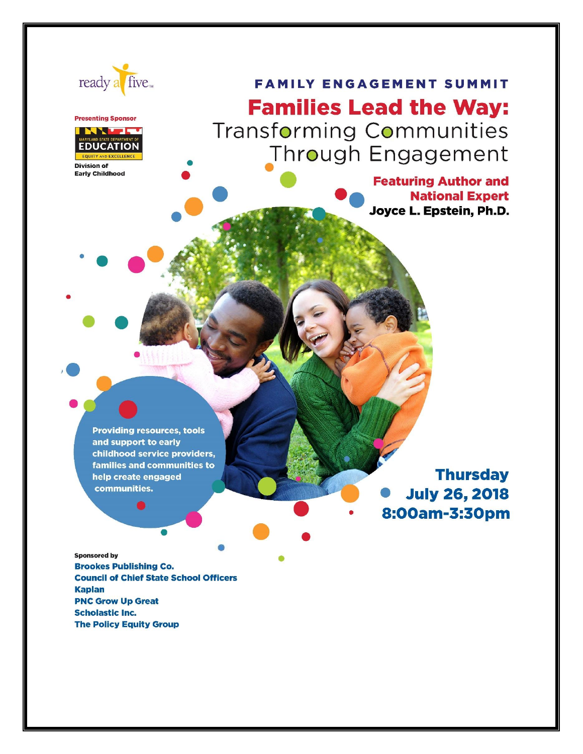

**Presenting Sponsor** 



**Division of Early Childhood** 

# **FAMILY ENGAGEMENT SUMMIT Families Lead the Way: Transforming Communities** Through Engagement

**Featuring Author and National Expert** Joyce L. Epstein, Ph.D.

**Providing resources, tools** and support to early childhood service providers, families and communities to help create engaged communities.

**Thursday July 26, 2018** 8:00am-3:30pm

**Sponsored by Brookes Publishing Co. Council of Chief State School Officers Kaplan PNC Grow Up Great Scholastic Inc. The Policy Equity Group**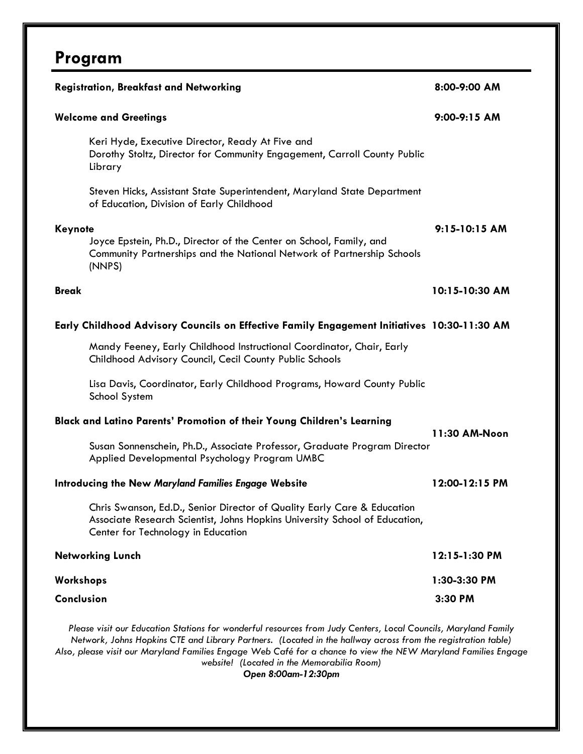# **Program**

| <b>Registration, Breakfast and Networking</b>                                                                                                                                                | 8:00-9:00 AM    |
|----------------------------------------------------------------------------------------------------------------------------------------------------------------------------------------------|-----------------|
| <b>Welcome and Greetings</b>                                                                                                                                                                 | $9:00-9:15$ AM  |
| Keri Hyde, Executive Director, Ready At Five and<br>Dorothy Stoltz, Director for Community Engagement, Carroll County Public<br>Library                                                      |                 |
| Steven Hicks, Assistant State Superintendent, Maryland State Department<br>of Education, Division of Early Childhood                                                                         |                 |
| Keynote<br>Joyce Epstein, Ph.D., Director of the Center on School, Family, and<br>Community Partnerships and the National Network of Partnership Schools<br>(NNPS)                           | $9:15-10:15$ AM |
| <b>Break</b>                                                                                                                                                                                 | 10:15-10:30 AM  |
| Early Childhood Advisory Councils on Effective Family Engagement Initiatives 10:30-11:30 AM                                                                                                  |                 |
| Mandy Feeney, Early Childhood Instructional Coordinator, Chair, Early<br>Childhood Advisory Council, Cecil County Public Schools                                                             |                 |
| Lisa Davis, Coordinator, Early Childhood Programs, Howard County Public<br>School System                                                                                                     |                 |
| Black and Latino Parents' Promotion of their Young Children's Learning                                                                                                                       | 11:30 AM-Noon   |
| Susan Sonnenschein, Ph.D., Associate Professor, Graduate Program Director<br>Applied Developmental Psychology Program UMBC                                                                   |                 |
| Introducing the New Maryland Families Engage Website                                                                                                                                         | 12:00-12:15 PM  |
| Chris Swanson, Ed.D., Senior Director of Quality Early Care & Education<br>Associate Research Scientist, Johns Hopkins University School of Education,<br>Center for Technology in Education |                 |
| <b>Networking Lunch</b>                                                                                                                                                                      | 12:15-1:30 PM   |
| Workshops                                                                                                                                                                                    | 1:30-3:30 PM    |
| Conclusion                                                                                                                                                                                   | 3:30 PM         |

*Please visit our Education Stations for wonderful resources from Judy Centers, Local Councils, Maryland Family Network, Johns Hopkins CTE and Library Partners. (Located in the hallway across from the registration table) Also, please visit our Maryland Families Engage Web Café for a chance to view the NEW Maryland Families Engage website! (Located in the Memorabilia Room)*

*Open 8:00am-12:30pm*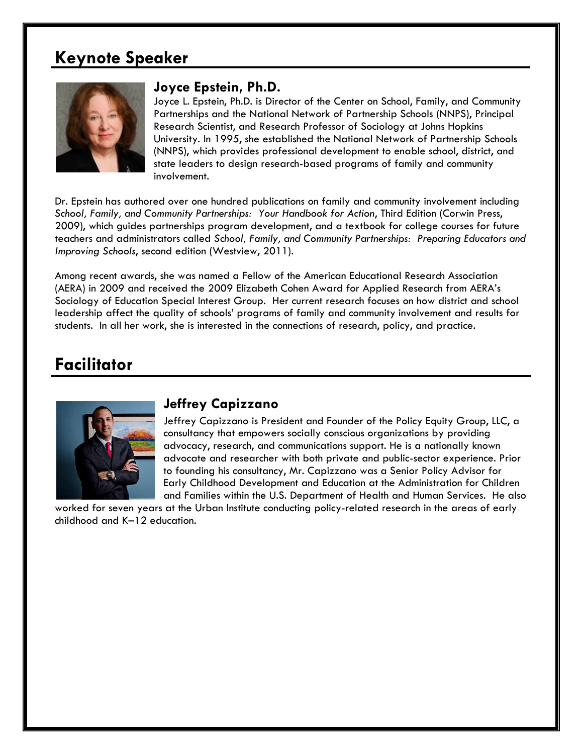# **Keynote Speaker**



### **Joyce Epstein, Ph.D.**

Joyce L. Epstein, Ph.D. is Director of the Center on School, Family, and Community Partnerships and the National Network of Partnership Schools (NNPS), Principal Research Scientist, and Research Professor of Sociology at Johns Hopkins University. In 1995, she established the National Network of Partnership Schools (NNPS), which provides professional development to enable school, district, and state leaders to design research-based programs of family and community involvement.

Dr. Epstein has authored over one hundred publications on family and community involvement including *School, Family, and Community Partnerships: Your Handbook for Action*, Third Edition (Corwin Press, 2009), which guides partnerships program development, and a textbook for college courses for future teachers and administrators called *School, Family, and Community Partnerships: Preparing Educators and Improving Schools*, second edition (Westview, 2011).

Among recent awards, she was named a Fellow of the American Educational Research Association (AERA) in 2009 and received the 2009 Elizabeth Cohen Award for Applied Research from AERA's Sociology of Education Special Interest Group. Her current research focuses on how district and school leadership affect the quality of schools' programs of family and community involvement and results for students. In all her work, she is interested in the connections of research, policy, and practice.

# **Facilitator**



### **Jeffrey Capizzano**

Jeffrey Capizzano is President and Founder of the Policy Equity Group, LLC, a consultancy that empowers socially conscious organizations by providing advocacy, research, and communications support. He is a nationally known advocate and researcher with both private and public-sector experience. Prior to founding his consultancy, Mr. Capizzano was a Senior Policy Advisor for Early Childhood Development and Education at the Administration for Children and Families within the U.S. Department of Health and Human Services. He also

worked for seven years at the Urban Institute conducting policy-related research in the areas of early childhood and K–12 education.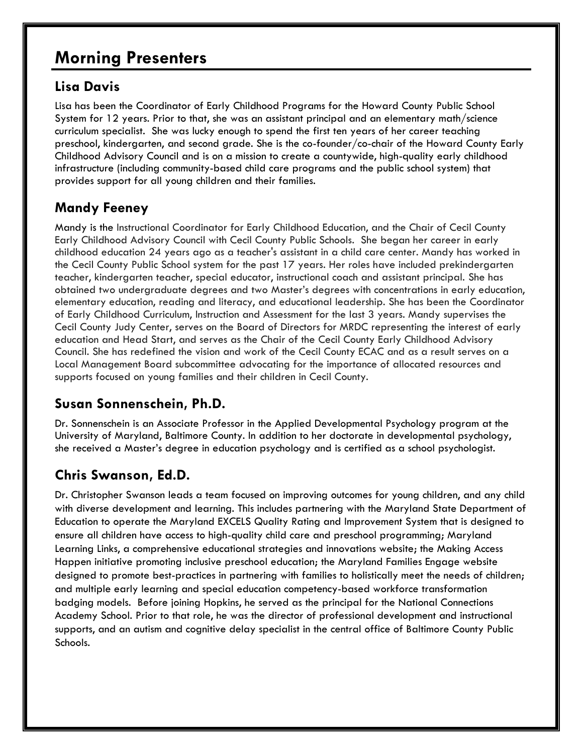# **Morning Presenters**

### **Lisa Davis**

Lisa has been the Coordinator of Early Childhood Programs for the Howard County Public School System for 12 years. Prior to that, she was an assistant principal and an elementary math/science curriculum specialist. She was lucky enough to spend the first ten years of her career teaching preschool, kindergarten, and second grade. She is the co-founder/co-chair of the Howard County Early Childhood Advisory Council and is on a mission to create a countywide, high-quality early childhood infrastructure (including community-based child care programs and the public school system) that provides support for all young children and their families.

## **Mandy Feeney**

Mandy is the Instructional Coordinator for Early Childhood Education, and the Chair of Cecil County Early Childhood Advisory Council with Cecil County Public Schools. She began her career in early childhood education 24 years ago as a teacher's assistant in a child care center. Mandy has worked in the Cecil County Public School system for the past 17 years. Her roles have included prekindergarten teacher, kindergarten teacher, special educator, instructional coach and assistant principal. She has obtained two undergraduate degrees and two Master's degrees with concentrations in early education, elementary education, reading and literacy, and educational leadership. She has been the Coordinator of Early Childhood Curriculum, Instruction and Assessment for the last 3 years. Mandy supervises the Cecil County Judy Center, serves on the Board of Directors for MRDC representing the interest of early education and Head Start, and serves as the Chair of the Cecil County Early Childhood Advisory Council. She has redefined the vision and work of the Cecil County ECAC and as a result serves on a Local Management Board subcommittee advocating for the importance of allocated resources and supports focused on young families and their children in Cecil County.

### **Susan Sonnenschein, Ph.D.**

Dr. Sonnenschein is an Associate Professor in the Applied Developmental Psychology program at the University of Maryland, Baltimore County. In addition to her doctorate in developmental psychology, she received a Master's degree in education psychology and is certified as a school psychologist.

## **Chris Swanson, Ed.D.**

Dr. Christopher Swanson leads a team focused on improving outcomes for young children, and any child with diverse development and learning. This includes partnering with the Maryland State Department of Education to operate the Maryland EXCELS Quality Rating and Improvement System that is designed to ensure all children have access to high-quality child care and preschool programming; Maryland Learning Links, a comprehensive educational strategies and innovations website; the Making Access Happen initiative promoting inclusive preschool education; the Maryland Families Engage website designed to promote best-practices in partnering with families to holistically meet the needs of children; and multiple early learning and special education competency-based workforce transformation badging models. Before joining Hopkins, he served as the principal for the National Connections Academy School. Prior to that role, he was the director of professional development and instructional supports, and an autism and cognitive delay specialist in the central office of Baltimore County Public Schools.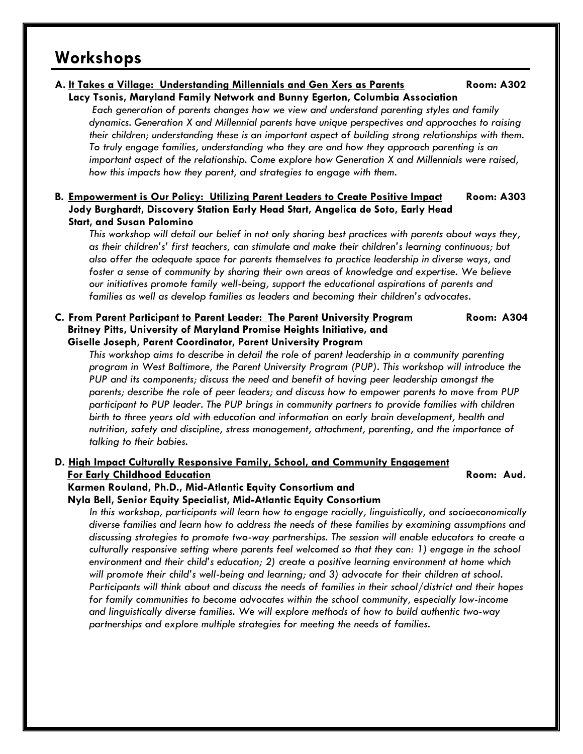# **Workshops**

### **A. It Takes a Village: Understanding Millennials and Gen Xers as Parents Room: A302 Lacy Tsonis, Maryland Family Network and Bunny Egerton, Columbia Association**

*Each generation of parents changes how we view and understand parenting styles and family dynamics. Generation X and Millennial parents have unique perspectives and approaches to raising their children; understanding these is an important aspect of building strong relationships with them. To truly engage families, understanding who they are and how they approach parenting is an important aspect of the relationship. Come explore how Generation X and Millennials were raised, how this impacts how they parent, and strategies to engage with them.*

### **B. Empowerment is Our Policy: Utilizing Parent Leaders to Create Positive Impact Room: A303 Jody Burghardt, Discovery Station Early Head Start, Angelica de Soto, Early Head Start, and Susan Palomino**

*This workshop will detail our belief in not only sharing best practices with parents about ways they, as their children's' first teachers, can stimulate and make their children's learning continuous; but also offer the adequate space for parents themselves to practice leadership in diverse ways, and*  foster a sense of community by sharing their own areas of knowledge and expertise. We believe *our initiatives promote family well-being, support the educational aspirations of parents and families as well as develop families as leaders and becoming their children's advocates.*

### **C. From Parent Participant to Parent Leader: The Parent University Program Room: A304 Britney Pitts, University of Maryland Promise Heights Initiative, and Giselle Joseph, Parent Coordinator, Parent University Program**

*This workshop aims to describe in detail the role of parent leadership in a community parenting program in West Baltimore, the Parent University Program (PUP). This workshop will introduce the PUP and its components; discuss the need and benefit of having peer leadership amongst the parents; describe the role of peer leaders; and discuss how to empower parents to move from PUP participant to PUP leader. The PUP brings in community partners to provide families with children birth to three years old with education and information on early brain development, health and nutrition, safety and discipline, stress management, attachment, parenting, and the importance of talking to their babies.* 

### **D. High Impact Culturally Responsive Family, School, and Community Engagement For Early Childhood Education Room: Aud.**

### **Karmen Rouland, Ph.D., Mid-Atlantic Equity Consortium and**

### **Nyla Bell, Senior Equity Specialist, Mid-Atlantic Equity Consortium**

*In this workshop, participants will learn how to engage racially, linguistically, and socioeconomically diverse families and learn how to address the needs of these families by examining assumptions and discussing strategies to promote two-way partnerships. The session will enable educators to create a culturally responsive setting where parents feel welcomed so that they can: 1) engage in the school environment and their child's education; 2) create a positive learning environment at home which will promote their child's well-being and learning; and 3) advocate for their children at school. Participants will think about and discuss the needs of families in their school/district and their hopes for family communities to become advocates within the school community, especially low-income and linguistically diverse families. We will explore methods of how to build authentic two-way partnerships and explore multiple strategies for meeting the needs of families.*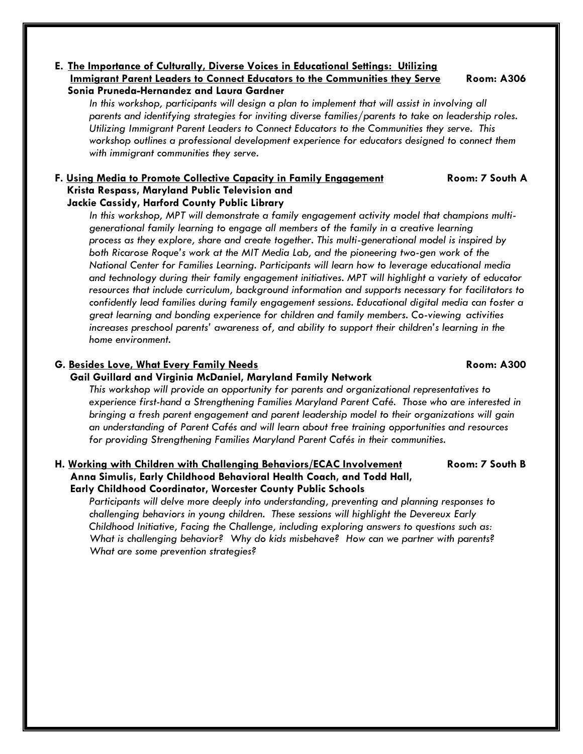### **E. The Importance of Culturally, Diverse Voices in Educational Settings: Utilizing Immigrant Parent Leaders to Connect Educators to the Communities they Serve Room: A306 Sonia Pruneda-Hernandez and Laura Gardner**

*In this workshop, participants will design a plan to implement that will assist in involving all parents and identifying strategies for inviting diverse families/parents to take on leadership roles. Utilizing Immigrant Parent Leaders to Connect Educators to the Communities they serve. This workshop outlines a professional development experience for educators designed to connect them with immigrant communities they serve.* 

### **F. Using Media to Promote Collective Capacity in Family Engagement Room: 7 South A Krista Respass, Maryland Public Television and Jackie Cassidy, Harford County Public Library**

*In this workshop, MPT will demonstrate a family engagement activity model that champions multigenerational family learning to engage all members of the family in a creative learning process as they explore, share and create together. This multi-generational model is inspired by both Ricarose Roque's work at the MIT Media Lab, and the pioneering two-gen work of the National Center for Families Learning. Participants will learn how to leverage educational media and technology during their family engagement initiatives. MPT will highlight a variety of educator resources that include curriculum, background information and supports necessary for facilitators to confidently lead families during family engagement sessions. Educational digital media can foster a great learning and bonding experience for children and family members. Co-viewing activities increases preschool parents' awareness of, and ability to support their children's learning in the home environment.*

### **G. Besides Love, What Every Family Needs Room: A300**

### **Gail Guillard and Virginia McDaniel, Maryland Family Network**

*This workshop will provide an opportunity for parents and organizational representatives to experience first-hand a Strengthening Families Maryland Parent Café. Those who are interested in bringing a fresh parent engagement and parent leadership model to their organizations will gain an understanding of Parent Cafés and will learn about free training opportunities and resources for providing Strengthening Families Maryland Parent Cafés in their communities.* 

### **H. Working with Children with Challenging Behaviors/ECAC Involvement Room: 7 South B Anna Simulis, Early Childhood Behavioral Health Coach, and Todd Hall, Early Childhood Coordinator, Worcester County Public Schools**

*Participants will delve more deeply into understanding, preventing and planning responses to challenging behaviors in young children. These sessions will highlight the Devereux Early Childhood Initiative, Facing the Challenge, including exploring answers to questions such as: What is challenging behavior? Why do kids misbehave? How can we partner with parents? What are some prevention strategies?*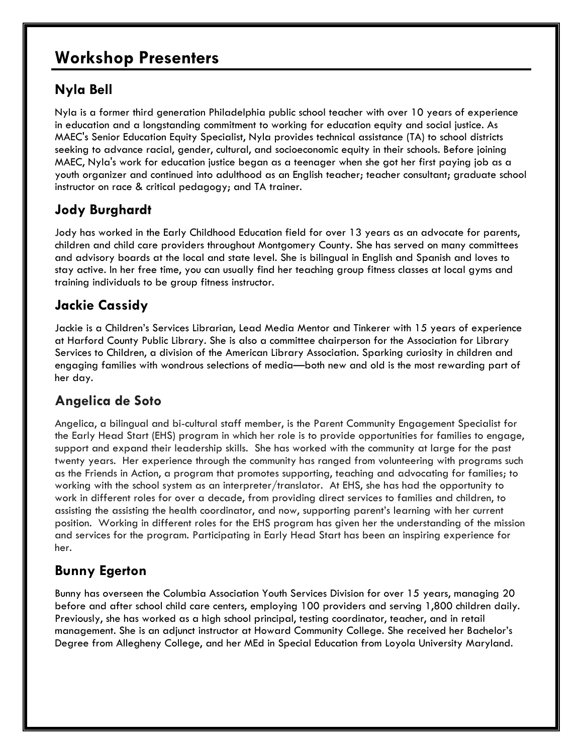# **Workshop Presenters**

## **Nyla Bell**

Nyla is a former third generation Philadelphia public school teacher with over 10 years of experience in education and a longstanding commitment to working for education equity and social justice. As MAEC's Senior Education Equity Specialist, Nyla provides technical assistance (TA) to school districts seeking to advance racial, gender, cultural, and socioeconomic equity in their schools. Before joining MAEC, Nyla's work for education justice began as a teenager when she got her first paying job as a youth organizer and continued into adulthood as an English teacher; teacher consultant; graduate school instructor on race & critical pedagogy; and TA trainer.

## **Jody Burghardt**

Jody has worked in the Early Childhood Education field for over 13 years as an advocate for parents, children and child care providers throughout Montgomery County. She has served on many committees and advisory boards at the local and state level. She is bilingual in English and Spanish and loves to stay active. In her free time, you can usually find her teaching group fitness classes at local gyms and training individuals to be group fitness instructor.

## **Jackie Cassidy**

Jackie is a Children's Services Librarian, Lead Media Mentor and Tinkerer with 15 years of experience at Harford County Public Library. She is also a committee chairperson for the Association for Library Services to Children, a division of the American Library Association. Sparking curiosity in children and engaging families with wondrous selections of media—both new and old is the most rewarding part of her day.

## **Angelica de Soto**

Angelica, a bilingual and bi-cultural staff member, is the Parent Community Engagement Specialist for the Early Head Start (EHS) program in which her role is to provide opportunities for families to engage, support and expand their leadership skills. She has worked with the community at large for the past twenty years. Her experience through the community has ranged from volunteering with programs such as the Friends in Action, a program that promotes supporting, teaching and advocating for families; to working with the school system as an interpreter/translator. At EHS, she has had the opportunity to work in different roles for over a decade, from providing direct services to families and children, to assisting the assisting the health coordinator, and now, supporting parent's learning with her current position. Working in different roles for the EHS program has given her the understanding of the mission and services for the program. Participating in Early Head Start has been an inspiring experience for her.

### **Bunny Egerton**

Bunny has overseen the Columbia Association Youth Services Division for over 15 years, managing 20 before and after school child care centers, employing 100 providers and serving 1,800 children daily. Previously, she has worked as a high school principal, testing coordinator, teacher, and in retail management. She is an adjunct instructor at Howard Community College. She received her Bachelor's Degree from Allegheny College, and her MEd in Special Education from Loyola University Maryland.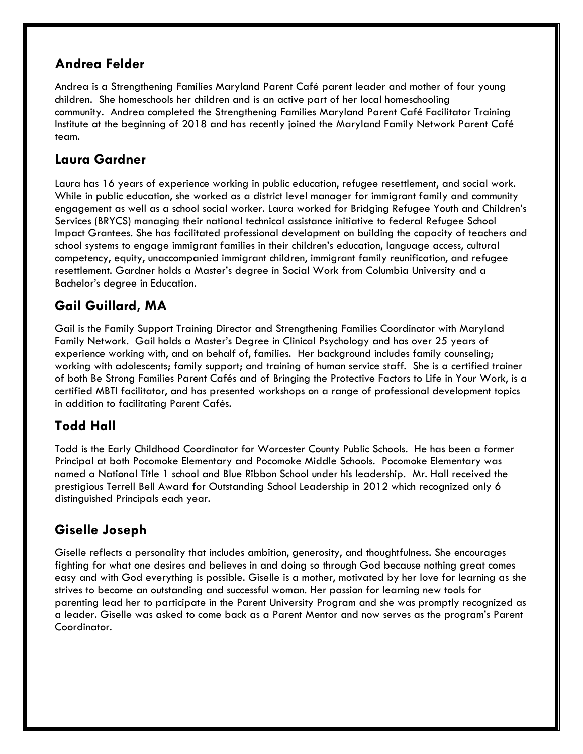### **Andrea Felder**

Andrea is a Strengthening Families Maryland Parent Café parent leader and mother of four young children. She homeschools her children and is an active part of her local homeschooling community. Andrea completed the Strengthening Families Maryland Parent Café Facilitator Training Institute at the beginning of 2018 and has recently joined the Maryland Family Network Parent Café team.

### **Laura Gardner**

Laura has 16 years of experience working in public education, refugee resettlement, and social work. While in public education, she worked as a district level manager for immigrant family and community engagement as well as a school social worker. Laura worked for Bridging Refugee Youth and Children's Services (BRYCS) managing their national technical assistance initiative to federal Refugee School Impact Grantees. She has facilitated professional development on building the capacity of teachers and school systems to engage immigrant families in their children's education, language access, cultural competency, equity, unaccompanied immigrant children, immigrant family reunification, and refugee resettlement. Gardner holds a Master's degree in Social Work from Columbia University and a Bachelor's degree in Education.

### **Gail Guillard, MA**

Gail is the Family Support Training Director and Strengthening Families Coordinator with Maryland Family Network. Gail holds a Master's Degree in Clinical Psychology and has over 25 years of experience working with, and on behalf of, families. Her background includes family counseling; working with adolescents; family support; and training of human service staff. She is a certified trainer of both Be Strong Families Parent Cafés and of Bringing the Protective Factors to Life in Your Work, is a certified MBTI facilitator, and has presented workshops on a range of professional development topics in addition to facilitating Parent Cafés.

## **Todd Hall**

Todd is the Early Childhood Coordinator for Worcester County Public Schools. He has been a former Principal at both Pocomoke Elementary and Pocomoke Middle Schools. Pocomoke Elementary was named a National Title 1 school and Blue Ribbon School under his leadership. Mr. Hall received the prestigious Terrell Bell Award for Outstanding School Leadership in 2012 which recognized only 6 distinguished Principals each year.

## **Giselle Joseph**

Giselle reflects a personality that includes ambition, generosity, and thoughtfulness. She encourages fighting for what one desires and believes in and doing so through God because nothing great comes easy and with God everything is possible. Giselle is a mother, motivated by her love for learning as she strives to become an outstanding and successful woman. Her passion for learning new tools for parenting lead her to participate in the Parent University Program and she was promptly recognized as a leader. Giselle was asked to come back as a Parent Mentor and now serves as the program's Parent Coordinator.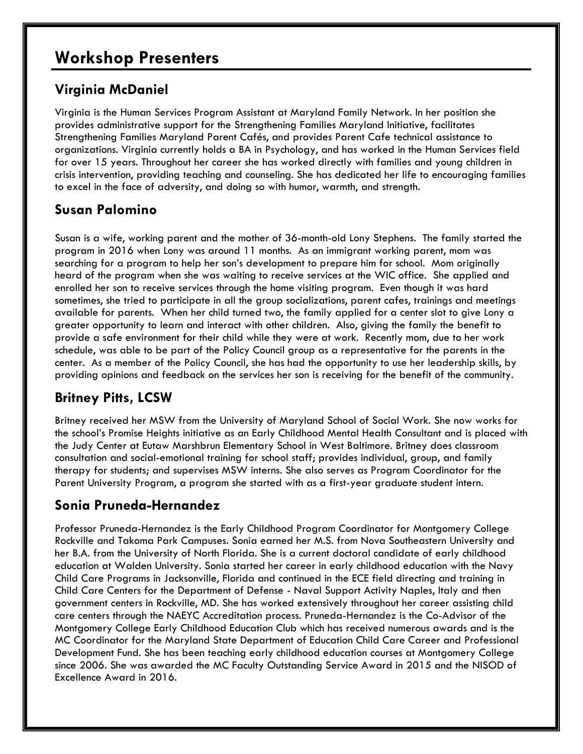# **Workshop Presenters**

### **Virginia McDaniel**

Virginia is the Human Services Program Assistant at Maryland Family Network. In her position she provides administrative support for the Strengthening Families Maryland Initiative, facilitates Strengthening Families Maryland Parent Cafés, and provides Parent Cafe technical assistance to organizations. Virginia currently holds a BA in Psychology, and has worked in the Human Services field for over 15 years. Throughout her career she has worked directly with families and young children in crisis intervention, providing teaching and counseling. She has dedicated her life to encouraging families to excel in the face of adversity, and doing so with humor, warmth, and strength.

### **Susan Palomino**

Susan is a wife, working parent and the mother of 36-month-old Lony Stephens. The family started the program in 2016 when Lony was around 11 months. As an immigrant working parent, mom was searching for a program to help her son's development to prepare him for school. Mom originally heard of the program when she was waiting to receive services at the WIC office. She applied and enrolled her son to receive services through the home visiting program. Even though it was hard sometimes, she tried to participate in all the group socializations, parent cafes, trainings and meetings available for parents. When her child turned two, the family applied for a center slot to give Lony a greater opportunity to learn and interact with other children. Also, giving the family the benefit to provide a safe environment for their child while they were at work. Recently mom, due to her work schedule, was able to be part of the Policy Council group as a representative for the parents in the center. As a member of the Policy Council, she has had the opportunity to use her leadership skills, by providing opinions and feedback on the services her son is receiving for the benefit of the community.

## **Britney Pitts, LCSW**

Britney received her MSW from the University of Maryland School of Social Work. She now works for the school's Promise Heights initiative as an Early Childhood Mental Health Consultant and is placed with the Judy Center at Eutaw Marshbrun Elementary School in West Baltimore. Britney does classroom consultation and social-emotional training for school staff; provides individual, group, and family therapy for students; and supervises MSW interns. She also serves as Program Coordinator for the Parent University Program, a program she started with as a first-year graduate student intern.

### **Sonia Pruneda-Hernandez**

Professor Pruneda-Hernandez is the Early Childhood Program Coordinator for Montgomery College Rockville and Takoma Park Campuses. Sonia earned her M.S. from Nova Southeastern University and her B.A. from the University of North Florida. She is a current doctoral candidate of early childhood education at Walden University. Sonia started her career in early childhood education with the Navy Child Care Programs in Jacksonville, Florida and continued in the ECE field directing and training in Child Care Centers for the Department of Defense - Naval Support Activity Naples, Italy and then government centers in Rockville, MD. She has worked extensively throughout her career assisting child care centers through the NAEYC Accreditation process. Pruneda-Hernandez is the Co-Advisor of the Montgomery College Early Childhood Education Club which has received numerous awards and is the MC Coordinator for the Maryland State Department of Education Child Care Career and Professional Development Fund. She has been teaching early childhood education courses at Montgomery College since 2006. She was awarded the MC Faculty Outstanding Service Award in 2015 and the NISOD of Excellence Award in 2016.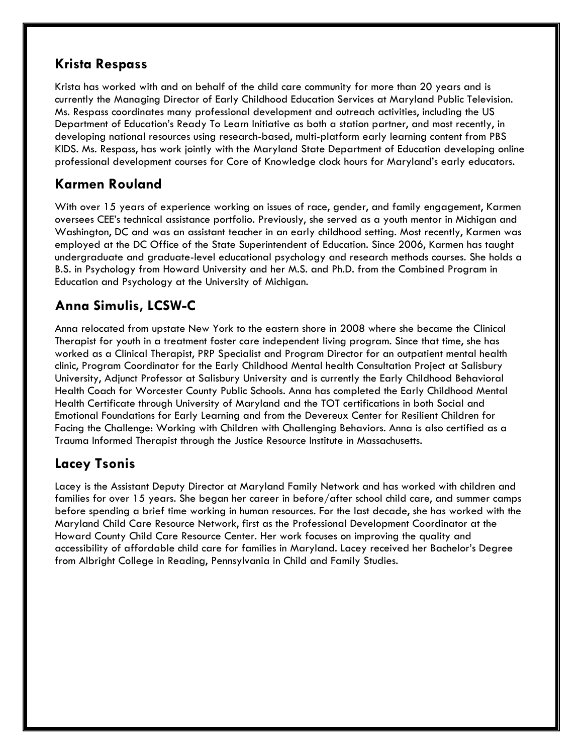### **Krista Respass**

Krista has worked with and on behalf of the child care community for more than 20 years and is currently the Managing Director of Early Childhood Education Services at Maryland Public Television. Ms. Respass coordinates many professional development and outreach activities, including the US Department of Education's Ready To Learn Initiative as both a station partner, and most recently, in developing national resources using research-based, multi-platform early learning content from PBS KIDS. Ms. Respass, has work jointly with the Maryland State Department of Education developing online professional development courses for Core of Knowledge clock hours for Maryland's early educators.

### **Karmen Rouland**

With over 15 years of experience working on issues of race, gender, and family engagement, Karmen oversees CEE's technical assistance portfolio. Previously, she served as a youth mentor in Michigan and Washington, DC and was an assistant teacher in an early childhood setting. Most recently, Karmen was employed at the DC Office of the State Superintendent of Education. Since 2006, Karmen has taught undergraduate and graduate-level educational psychology and research methods courses. She holds a B.S. in Psychology from Howard University and her M.S. and Ph.D. from the Combined Program in Education and Psychology at the University of Michigan.

## **Anna Simulis, LCSW-C**

Anna relocated from upstate New York to the eastern shore in 2008 where she became the Clinical Therapist for youth in a treatment foster care independent living program. Since that time, she has worked as a Clinical Therapist, PRP Specialist and Program Director for an outpatient mental health clinic, Program Coordinator for the Early Childhood Mental health Consultation Project at Salisbury University, Adjunct Professor at Salisbury University and is currently the Early Childhood Behavioral Health Coach for Worcester County Public Schools. Anna has completed the Early Childhood Mental Health Certificate through University of Maryland and the TOT certifications in both Social and Emotional Foundations for Early Learning and from the Devereux Center for Resilient Children for Facing the Challenge: Working with Children with Challenging Behaviors. Anna is also certified as a Trauma Informed Therapist through the Justice Resource Institute in Massachusetts.

### **Lacey Tsonis**

Lacey is the Assistant Deputy Director at Maryland Family Network and has worked with children and families for over 15 years. She began her career in before/after school child care, and summer camps before spending a brief time working in human resources. For the last decade, she has worked with the Maryland Child Care Resource Network, first as the Professional Development Coordinator at the Howard County Child Care Resource Center. Her work focuses on improving the quality and accessibility of affordable child care for families in Maryland. Lacey received her Bachelor's Degree from Albright College in Reading, Pennsylvania in Child and Family Studies.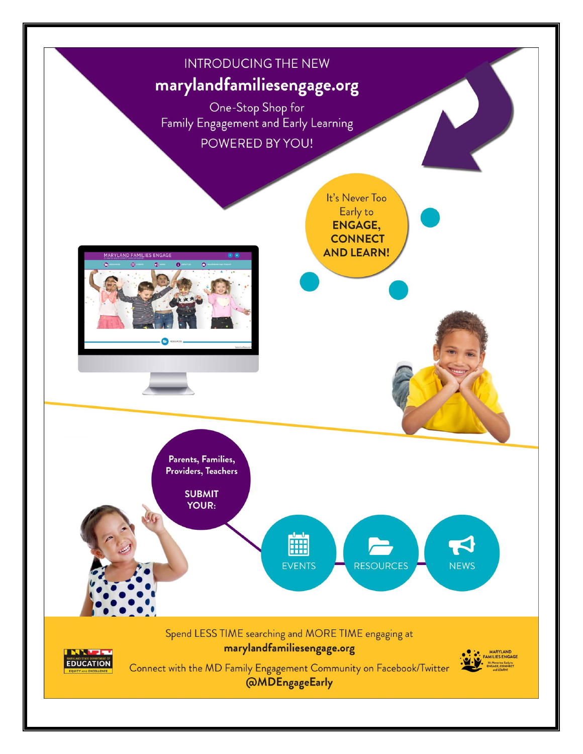